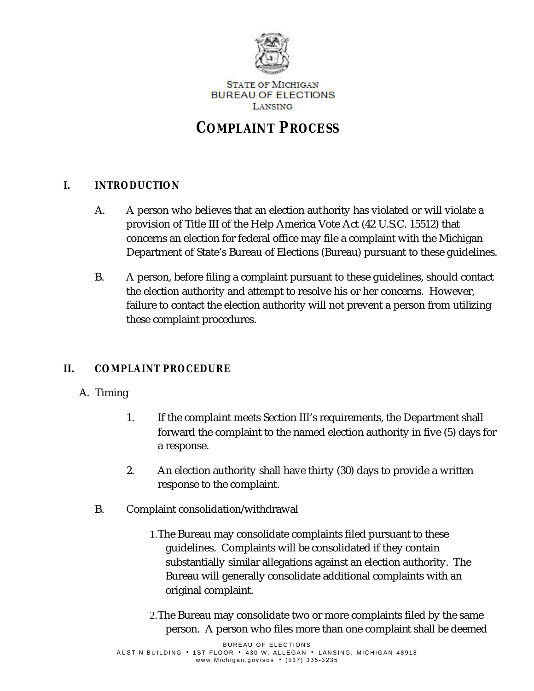

**STATE OF MICHIGAN BUREAU OF ELECTIONS** LANSING

# **COMPLAINT PROCESS**

## **I.** *INTRODUCTION*

- A. A person who believes that an election authority has violated or will violate a provision of Title III of the Help America Vote Act (42 U.S.C. 15512) that concerns an election for federal office may file a complaint with the Michigan Department of State's Bureau of Elections (Bureau) pursuant to these guidelines.
- B. A person, before filing a complaint pursuant to these guidelines, should contact the election authority and attempt to resolve his or her concerns. However, failure to contact the election authority will not prevent a person from utilizing these complaint procedures.

## **II.** *COMPLAINT PROCEDURE*

#### A. Timing

- 1. If the complaint meets Section III's requirements, the Department shall forward the complaint to the named election authority in five (5) days for a response.
- 2. An election authority shall have thirty (30) days to provide a written response to the complaint.
- B. Complaint consolidation/withdrawal
	- 1.The Bureau may consolidate complaints filed pursuant to these guidelines. Complaints will be consolidated if they contain substantially similar allegations against an election authority. The Bureau will generally consolidate additional complaints with an original complaint.
	- 2.The Bureau may consolidate two or more complaints filed by the same person. A person who files more than one complaint shall be deemed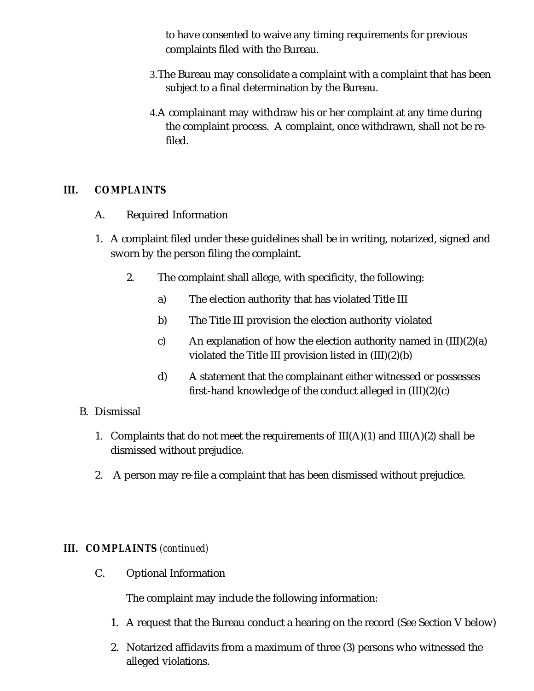to have consented to waive any timing requirements for previous complaints filed with the Bureau.

- 3.The Bureau may consolidate a complaint with a complaint that has been subject to a final determination by the Bureau.
- 4.A complainant may withdraw his or her complaint at any time during the complaint process. A complaint, once withdrawn, shall not be refiled.

#### **III.** *COMPLAINTS*

- A. Required Information
- 1. A complaint filed under these guidelines shall be in writing, notarized, signed and sworn by the person filing the complaint.
	- 2. The complaint shall allege, with specificity, the following:
		- a) The election authority that has violated Title III
		- b) The Title III provision the election authority violated
		- c) An explanation of how the election authority named in  $(III)(2)(a)$ violated the Title III provision listed in (III)(2)(b)
		- d) A statement that the complainant either witnessed or possesses first-hand knowledge of the conduct alleged in (III)(2)(c)

#### B. Dismissal

- 1. Complaints that do not meet the requirements of  $III(A)(1)$  and  $III(A)(2)$  shall be dismissed without prejudice.
- 2. A person may re-file a complaint that has been dismissed without prejudice.

#### **III.** *COMPLAINTS (continued)*

C. Optional Information

The complaint may include the following information:

- 1. A request that the Bureau conduct a hearing on the record (See Section V below)
- 2. Notarized affidavits from a maximum of three (3) persons who witnessed the alleged violations.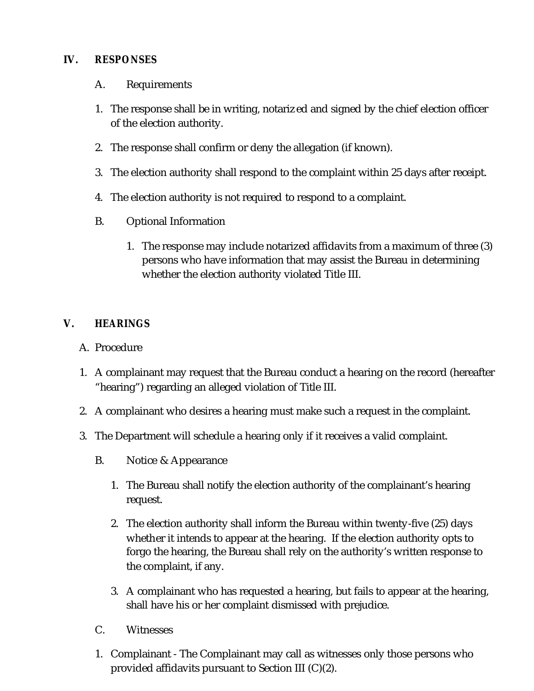#### **IV.** *RESPONSES*

- A. Requirements
- 1. The response shall be in writing, notarized and signed by the chief election officer of the election authority.
- 2. The response shall confirm or deny the allegation (if known).
- 3. The election authority shall respond to the complaint within 25 days after receipt.
- 4. The election authority is not required to respond to a complaint.
- B. Optional Information
	- 1. The response may include notarized affidavits from a maximum of three (3) persons who have information that may assist the Bureau in determining whether the election authority violated Title III.

## **V.** *HEARINGS*

- A. Procedure
- 1. A complainant may request that the Bureau conduct a hearing on the record (hereafter "hearing") regarding an alleged violation of Title III.
- 2. A complainant who desires a hearing must make such a request in the complaint.
- 3. The Department will schedule a hearing only if it receives a valid complaint.
	- B. Notice & Appearance
		- 1. The Bureau shall notify the election authority of the complainant's hearing request.
		- 2. The election authority shall inform the Bureau within twenty-five (25) days whether it intends to appear at the hearing. If the election authority opts to forgo the hearing, the Bureau shall rely on the authority's written response to the complaint, if any.
		- 3. A complainant who has requested a hearing, but fails to appear at the hearing, shall have his or her complaint dismissed with prejudice.
	- C. Witnesses
	- 1. Complainant The Complainant may call as witnesses only those persons who provided affidavits pursuant to Section III (C)(2).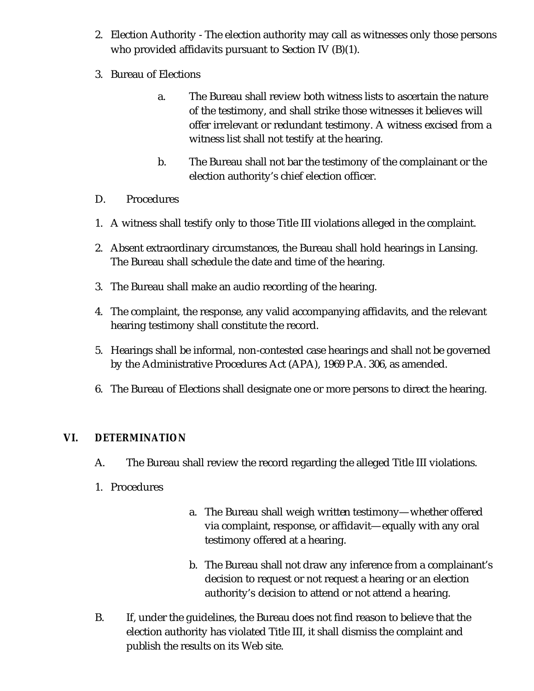- 2. Election Authority The election authority may call as witnesses only those persons who provided affidavits pursuant to Section IV (B)(1).
- 3. Bureau of Elections
	- a. The Bureau shall review both witness lists to ascertain the nature of the testimony, and shall strike those witnesses it believes will offer irrelevant or redundant testimony. A witness excised from a witness list shall not testify at the hearing.
	- b. The Bureau shall not bar the testimony of the complainant or the election authority's chief election officer.
- D. Procedures
- 1. A witness shall testify only to those Title III violations alleged in the complaint.
- 2. Absent extraordinary circumstances, the Bureau shall hold hearings in Lansing. The Bureau shall schedule the date and time of the hearing.
- 3. The Bureau shall make an audio recording of the hearing.
- 4. The complaint, the response, any valid accompanying affidavits, and the relevant hearing testimony shall constitute the record.
- 5. Hearings shall be informal, non-contested case hearings and shall not be governed by the Administrative Procedures Act (APA), 1969 P.A. 306, as amended.
- 6. The Bureau of Elections shall designate one or more persons to direct the hearing.

#### **VI.** *DETERMINATION*

- A. The Bureau shall review the record regarding the alleged Title III violations.
- 1. Procedures
- a. The Bureau shall weigh written testimony—whether offered via complaint, response, or affidavit—equally with any oral testimony offered at a hearing.
- b. The Bureau shall not draw any inference from a complainant's decision to request or not request a hearing or an election authority's decision to attend or not attend a hearing.
- B. If, under the guidelines, the Bureau does not find reason to believe that the election authority has violated Title III, it shall dismiss the complaint and publish the results on its Web site.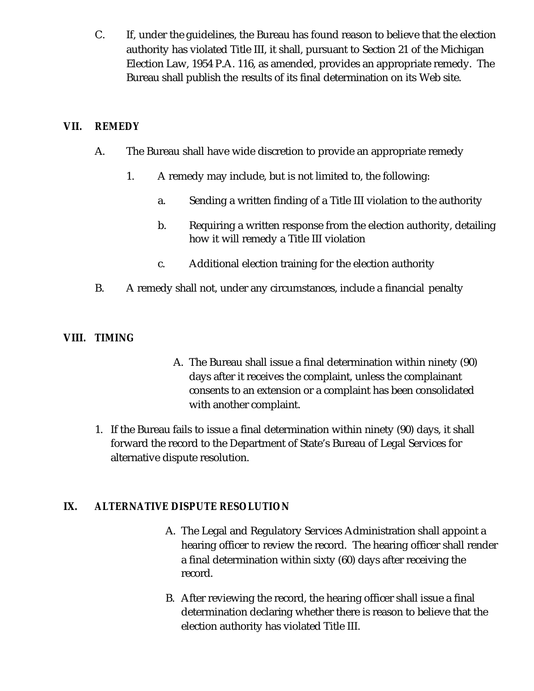C. If, under the guidelines, the Bureau has found reason to believe that the election authority has violated Title III, it shall, pursuant to Section 21 of the Michigan Election Law, 1954 P.A. 116, as amended, provides an appropriate remedy. The Bureau shall publish the results of its final determination on its Web site.

#### **VII.** *REMEDY*

- A. The Bureau shall have wide discretion to provide an appropriate remedy
	- 1. A remedy may include, but is not limited to, the following:
		- a. Sending a written finding of a Title III violation to the authority
		- b. Requiring a written response from the election authority, detailing how it will remedy a Title III violation
		- c. Additional election training for the election authority
- B. A remedy shall not, under any circumstances, include a financial penalty

## **VIII.** *TIMING*

- A. The Bureau shall issue a final determination within ninety (90) days after it receives the complaint, unless the complainant consents to an extension or a complaint has been consolidated with another complaint.
- 1. If the Bureau fails to issue a final determination within ninety (90) days, it shall forward the record to the Department of State's Bureau of Legal Services for alternative dispute resolution.

## **IX.** *ALTERNATIVE DISPUTE RESOLUTION*

- A. The Legal and Regulatory Services Administration shall appoint a hearing officer to review the record. The hearing officer shall render a final determination within sixty (60) days after receiving the record.
- B. After reviewing the record, the hearing officer shall issue a final determination declaring whether there is reason to believe that the election authority has violated Title III.